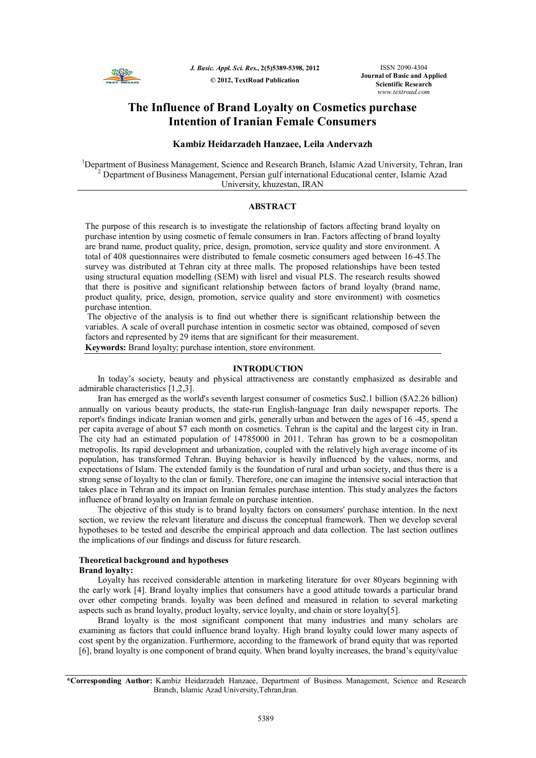

*J. Basic. Appl. Sci. Res.***, 2(5)5389-5398, 2012 © 2012, TextRoad Publication**

ISSN 2090-4304 **Journal of Basic and Applied Scientific Research** *www.textroad.com*

# **The Influence of Brand Loyalty on Cosmetics purchase Intention of Iranian Female Consumers**

# **Kambiz Heidarzadeh Hanzaee, Leila Andervazh**

<sup>1</sup>Department of Business Management, Science and Research Branch, Islamic Azad University, Tehran, Iran  $2$  Department of Business Management, Persian gulf international Educational center, Islamic Azad University, khuzestan, IRAN

# **ABSTRACT**

The purpose of this research is to investigate the relationship of factors affecting brand loyalty on purchase intention by using cosmetic of female consumers in Iran. Factors affecting of brand loyalty are brand name, product quality, price, design, promotion, service quality and store environment. A total of 408 questionnaires were distributed to female cosmetic consumers aged between 16-45.The survey was distributed at Tehran city at three malls. The proposed relationships have been tested using structural equation modelling (SEM) with lisrel and visual PLS. The research results showed that there is positive and significant relationship between factors of brand loyalty (brand name, product quality, price, design, promotion, service quality and store environment) with cosmetics purchase intention.

The objective of the analysis is to find out whether there is significant relationship between the variables. A scale of overall purchase intention in cosmetic sector was obtained, composed of seven factors and represented by 29 items that are significant for their measurement.

**Keywords:** Brand loyalty; purchase intention, store environment.

### **INTRODUCTION**

In today's society, beauty and physical attractiveness are constantly emphasized as desirable and admirable characteristics [1,2,3].

Iran has emerged as the world's seventh largest consumer of cosmetics \$us2.1 billion (\$A2.26 billion) annually on various beauty products, the state-run English-language Iran daily newspaper reports. The report's findings indicate Iranian women and girls, generally urban and between the ages of 16 -45, spend a per capita average of about \$7 each month on cosmetics. Tehran is the capital and the largest city in Iran. The city had an estimated population of 14785000 in 2011. Tehran has grown to be a cosmopolitan metropolis. Its rapid development and urbanization, coupled with the relatively high average income of its population, has transformed Tehran. Buying behavior is heavily influenced by the values, norms, and expectations of Islam. The extended family is the foundation of rural and urban society, and thus there is a strong sense of loyalty to the clan or family. Therefore, one can imagine the intensive social interaction that takes place in Tehran and its impact on Iranian females purchase intention. This study analyzes the factors influence of brand loyalty on Iranian female on purchase intention.

The objective of this study is to brand loyalty factors on consumers' purchase intention. In the next section, we review the relevant literature and discuss the conceptual framework. Then we develop several hypotheses to be tested and describe the empirical approach and data collection. The last section outlines the implications of our findings and discuss for future research.

### **Theoretical background and hypotheses Brand loyalty:**

Loyalty has received considerable attention in marketing literature for over 80years beginning with the early work [4]. Brand loyalty implies that consumers have a good attitude towards a particular brand over other competing brands. loyalty was been defined and measured in relation to several marketing aspects such as brand loyalty, product loyalty, service loyalty, and chain or store loyalty[5].

Brand loyalty is the most significant component that many industries and many scholars are examining as factors that could influence brand loyalty. High brand loyalty could lower many aspects of cost spent by the organization. Furthermore, according to the framework of brand equity that was reported [6], brand loyalty is one component of brand equity. When brand loyalty increases, the brand's equity/value

**<sup>\*</sup>Corresponding Author:** Kambiz Heidarzadeh Hanzaee, Department of Business Management, Science and Research Branch, Islamic Azad University,Tehran,Iran.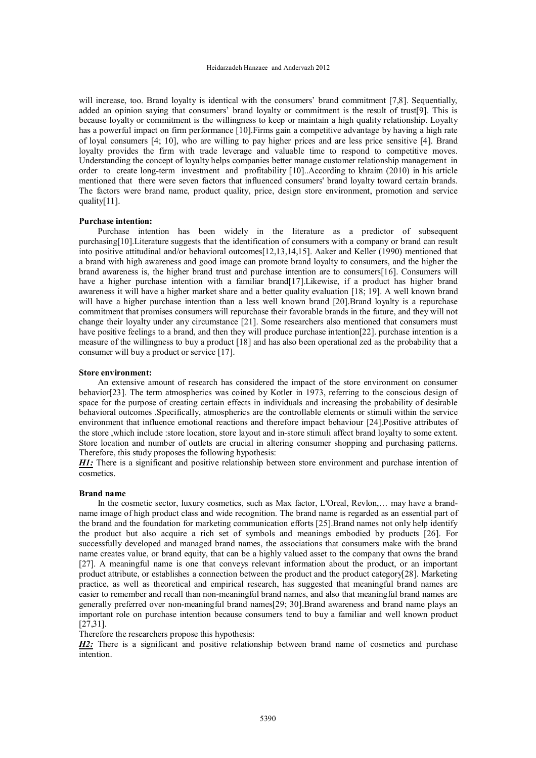will increase, too. Brand loyalty is identical with the consumers' brand commitment [7,8]. Sequentially, added an opinion saying that consumers' brand loyalty or commitment is the result of trust[9]. This is because loyalty or commitment is the willingness to keep or maintain a high quality relationship. Loyalty has a powerful impact on firm performance [10]. Firms gain a competitive advantage by having a high rate of loyal consumers [4; 10], who are willing to pay higher prices and are less price sensitive [4]. Brand loyalty provides the firm with trade leverage and valuable time to respond to competitive moves. Understanding the concept of loyalty helps companies better manage customer relationship management in order to create long-term investment and profitability [10]..According to khraim (2010) in his article mentioned that there were seven factors that influenced consumers' brand loyalty toward certain brands. The factors were brand name, product quality, price, design store environment, promotion and service quality[11].

# **Purchase intention:**

Purchase intention has been widely in the literature as a predictor of subsequent purchasing[10].Literature suggests that the identification of consumers with a company or brand can result into positive attitudinal and/or behavioral outcomes[12,13,14,15]. Aaker and Keller (1990) mentioned that a brand with high awareness and good image can promote brand loyalty to consumers, and the higher the brand awareness is, the higher brand trust and purchase intention are to consumers[16]. Consumers will have a higher purchase intention with a familiar brand[17]. Likewise, if a product has higher brand awareness it will have a higher market share and a better quality evaluation [18; 19]. A well known brand will have a higher purchase intention than a less well known brand [20].Brand loyalty is a repurchase commitment that promises consumers will repurchase their favorable brands in the future, and they will not change their loyalty under any circumstance [21]. Some researchers also mentioned that consumers must have positive feelings to a brand, and then they will produce purchase intention[22], purchase intention is a measure of the willingness to buy a product [18] and has also been operational zed as the probability that a consumer will buy a product or service [17].

# **Store environment:**

An extensive amount of research has considered the impact of the store environment on consumer behavior[23]. The term atmospherics was coined by Kotler in 1973, referring to the conscious design of space for the purpose of creating certain effects in individuals and increasing the probability of desirable behavioral outcomes .Specifically, atmospherics are the controllable elements or stimuli within the service environment that influence emotional reactions and therefore impact behaviour [24].Positive attributes of the store ,which include :store location, store layout and in-store stimuli affect brand loyalty to some extent. Store location and number of outlets are crucial in altering consumer shopping and purchasing patterns. Therefore, this study proposes the following hypothesis:

*H1*: There is a significant and positive relationship between store environment and purchase intention of cosmetics.

### **Brand name**

In the cosmetic sector, luxury cosmetics, such as Max factor, L'Oreal, Revlon,… may have a brandname image of high product class and wide recognition. The brand name is regarded as an essential part of the brand and the foundation for marketing communication efforts [25].Brand names not only help identify the product but also acquire a rich set of symbols and meanings embodied by products [26]. For successfully developed and managed brand names, the associations that consumers make with the brand name creates value, or brand equity, that can be a highly valued asset to the company that owns the brand [27]. A meaningful name is one that conveys relevant information about the product, or an important product attribute, or establishes a connection between the product and the product category[28]. Marketing practice, as well as theoretical and empirical research, has suggested that meaningful brand names are easier to remember and recall than non-meaningful brand names, and also that meaningful brand names are generally preferred over non-meaningful brand names[29; 30].Brand awareness and brand name plays an important role on purchase intention because consumers tend to buy a familiar and well known product [27,31].

Therefore the researchers propose this hypothesis:

*H2*: There is a significant and positive relationship between brand name of cosmetics and purchase intention.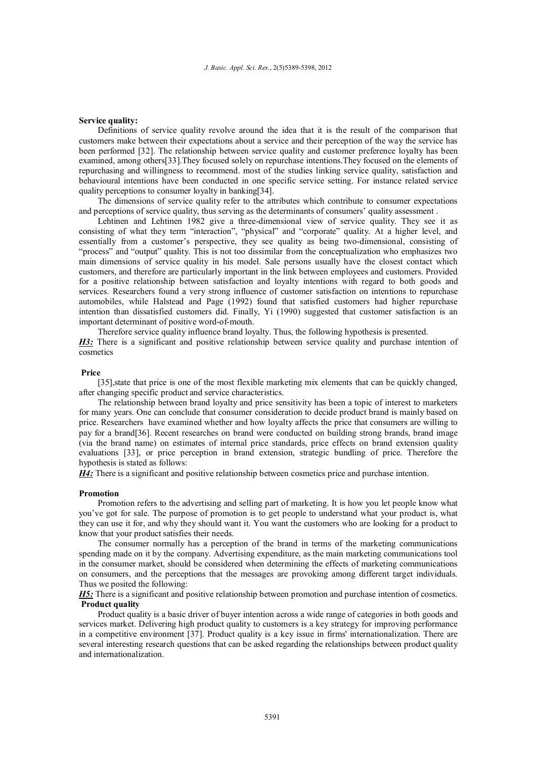#### **Service quality:**

Definitions of service quality revolve around the idea that it is the result of the comparison that customers make between their expectations about a service and their perception of the way the service has been performed [32]. The relationship between service quality and customer preference loyalty has been examined, among others[33].They focused solely on repurchase intentions.They focused on the elements of repurchasing and willingness to recommend. most of the studies linking service quality, satisfaction and behavioural intentions have been conducted in one specific service setting. For instance related service quality perceptions to consumer loyalty in banking[34].

The dimensions of service quality refer to the attributes which contribute to consumer expectations and perceptions of service quality, thus serving as the determinants of consumers' quality assessment .

Lehtinen and Lehtinen 1982 give a three-dimensional view of service quality. They see it as consisting of what they term "interaction", "physical" and "corporate" quality. At a higher level, and essentially from a customer's perspective, they see quality as being two-dimensional, consisting of "process" and "output" quality. This is not too dissimilar from the conceptualization who emphasizes two main dimensions of service quality in his model. Sale persons usually have the closest contact which customers, and therefore are particularly important in the link between employees and customers. Provided for a positive relationship between satisfaction and loyalty intentions with regard to both goods and services. Researchers found a very strong influence of customer satisfaction on intentions to repurchase automobiles, while Halstead and Page (1992) found that satisfied customers had higher repurchase intention than dissatisfied customers did. Finally, Yi (1990) suggested that customer satisfaction is an important determinant of positive word-of-mouth.

Therefore service quality influence brand loyalty. Thus, the following hypothesis is presented. *H3*: There is a significant and positive relationship between service quality and purchase intention of cosmetics

## **Price**

[35], state that price is one of the most flexible marketing mix elements that can be quickly changed, after changing specific product and service characteristics.

The relationship between brand loyalty and price sensitivity has been a topic of interest to marketers for many years. One can conclude that consumer consideration to decide product brand is mainly based on price. Researchers have examined whether and how loyalty affects the price that consumers are willing to pay for a brand[36]. Recent researches on brand were conducted on building strong brands, brand image (via the brand name) on estimates of internal price standards, price effects on brand extension quality evaluations [33], or price perception in brand extension, strategic bundling of price. Therefore the hypothesis is stated as follows:

*H4:* There is a significant and positive relationship between cosmetics price and purchase intention.

### **Promotion**

Promotion refers to the advertising and selling part of marketing. It is how you let people know what you've got for sale. The purpose of promotion is to get people to understand what your product is, what they can use it for, and why they should want it. You want the customers who are looking for a product to know that your product satisfies their needs.

The consumer normally has a perception of the brand in terms of the marketing communications spending made on it by the company. Advertising expenditure, as the main marketing communications tool in the consumer market, should be considered when determining the effects of marketing communications on consumers, and the perceptions that the messages are provoking among different target individuals. Thus we posited the following:

*H5:* There is a significant and positive relationship between promotion and purchase intention of cosmetics. **Product quality**

Product quality is a basic driver of buyer intention across a wide range of categories in both goods and services market. Delivering high product quality to customers is a key strategy for improving performance in a competitive environment [37]. Product quality is a key issue in firms' internationalization. There are several interesting research questions that can be asked regarding the relationships between product quality and internationalization.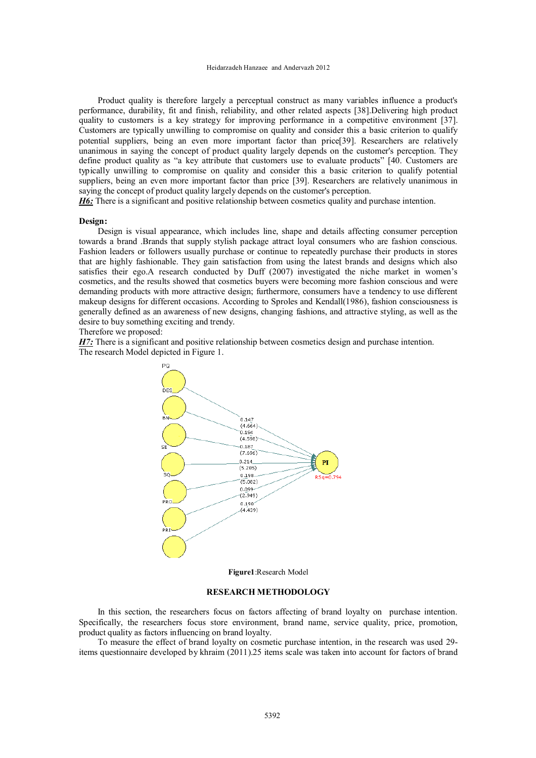#### Heidarzadeh Hanzaee and Andervazh 2012

Product quality is therefore largely a perceptual construct as many variables influence a product's performance, durability, fit and finish, reliability, and other related aspects [38].Delivering high product quality to customers is a key strategy for improving performance in a competitive environment [37]. Customers are typically unwilling to compromise on quality and consider this a basic criterion to qualify potential suppliers, being an even more important factor than price[39]. Researchers are relatively unanimous in saying the concept of product quality largely depends on the customer's perception. They define product quality as "a key attribute that customers use to evaluate products" [40. Customers are typically unwilling to compromise on quality and consider this a basic criterion to qualify potential suppliers, being an even more important factor than price [39]. Researchers are relatively unanimous in saying the concept of product quality largely depends on the customer's perception.

*H6*: There is a significant and positive relationship between cosmetics quality and purchase intention.

## **Design:**

Design is visual appearance, which includes line, shape and details affecting consumer perception towards a brand .Brands that supply stylish package attract loyal consumers who are fashion conscious. Fashion leaders or followers usually purchase or continue to repeatedly purchase their products in stores that are highly fashionable. They gain satisfaction from using the latest brands and designs which also satisfies their ego.A research conducted by Duff (2007) investigated the niche market in women's cosmetics, and the results showed that cosmetics buyers were becoming more fashion conscious and were demanding products with more attractive design; furthermore, consumers have a tendency to use different makeup designs for different occasions. According to Sproles and Kendall(1986), fashion consciousness is generally defined as an awareness of new designs, changing fashions, and attractive styling, as well as the desire to buy something exciting and trendy.

Therefore we proposed:

*H7*: There is a significant and positive relationship between cosmetics design and purchase intention. The research Model depicted in Figure 1.



**Figure1**:Research Model

### **RESEARCH METHODOLOGY**

In this section, the researchers focus on factors affecting of brand loyalty on purchase intention. Specifically, the researchers focus store environment, brand name, service quality, price, promotion, product quality as factors influencing on brand loyalty.

To measure the effect of brand loyalty on cosmetic purchase intention, in the research was used 29 items questionnaire developed by khraim (2011).25 items scale was taken into account for factors of brand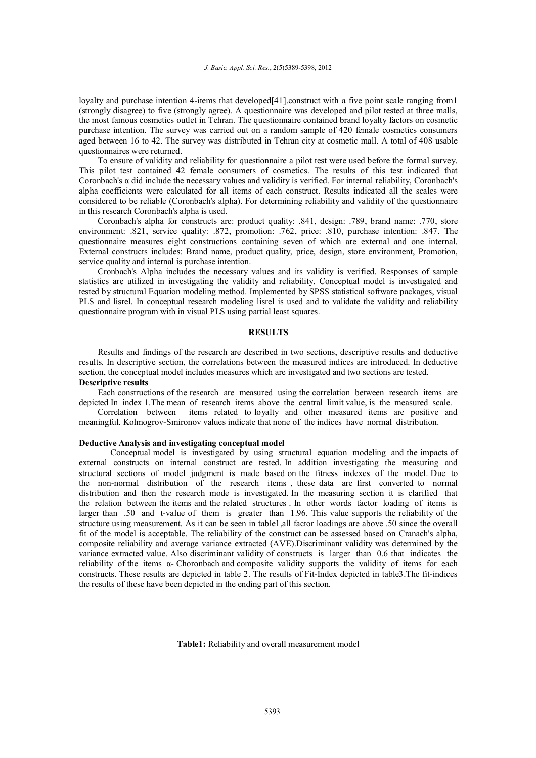loyalty and purchase intention 4-items that developed[41].construct with a five point scale ranging from1 (strongly disagree) to five (strongly agree). A questionnaire was developed and pilot tested at three malls, the most famous cosmetics outlet in Tehran. The questionnaire contained brand loyalty factors on cosmetic purchase intention. The survey was carried out on a random sample of 420 female cosmetics consumers aged between 16 to 42. The survey was distributed in Tehran city at cosmetic mall. A total of 408 usable questionnaires were returned.

To ensure of validity and reliability for questionnaire a pilot test were used before the formal survey. This pilot test contained 42 female consumers of cosmetics. The results of this test indicated that Coronbach's  $\alpha$  did include the necessary values and validity is verified. For internal reliability, Coronbach's alpha coefficients were calculated for all items of each construct. Results indicated all the scales were considered to be reliable (Coronbach's alpha). For determining reliability and validity of the questionnaire in this research Coronbach's alpha is used.

Coronbach's alpha for constructs are: product quality: .841, design: .789, brand name: .770, store environment: .821, service quality: .872, promotion: .762, price: .810, purchase intention: .847. The questionnaire measures eight constructions containing seven of which are external and one internal. External constructs includes: Brand name, product quality, price, design, store environment, Promotion, service quality and internal is purchase intention.

Cronbach's Alpha includes the necessary values and its validity is verified. Responses of sample statistics are utilized in investigating the validity and reliability. Conceptual model is investigated and tested by structural Equation modeling method. Implemented by SPSS statistical software packages, visual PLS and lisrel. In conceptual research modeling lisrel is used and to validate the validity and reliability questionnaire program with in visual PLS using partial least squares.

# **RESULTS**

Results and findings of the research are described in two sections, descriptive results and deductive results. In descriptive section, the correlations between the measured indices are introduced. In deductive section, the conceptual model includes measures which are investigated and two sections are tested. **Descriptive results**

Each constructions of the research are measured using the correlation between research items are depicted In index 1.The mean of research items above the central limit value, is the measured scale.

Correlation between items related to loyalty and other measured items are positive and meaningful. Kolmogrov-Smironov values indicate that none of the indices have normal distribution.

# **Deductive Analysis and investigating conceptual model**

Conceptual model is investigated by using structural equation modeling and the impacts of external constructs on internal construct are tested. In addition investigating the measuring and structural sections of model judgment is made based on the fitness indexes of the model. Due to the non-normal distribution of the research items , these data are first converted to normal distribution and then the research mode is investigated. In the measuring section it is clarified that the relation between the items and the related structures . In other words factor loading of items is larger than .50 and t-value of them is greater than 1.96. This value supports the reliability of the structure using measurement. As it can be seen in table1,all factor loadings are above .50 since the overall fit of the model is acceptable. The reliability of the construct can be assessed based on Cranach's alpha, composite reliability and average variance extracted (AVE).Discriminant validity was determined by the variance extracted value. Also discriminant validity of constructs is larger than 0.6 that indicates the reliability of the items  $\alpha$ - Choronbach and composite validity supports the validity of items for each constructs. These results are depicted in table 2. The results of Fit-Index depicted in table3.The fit-indices the results of these have been depicted in the ending part of this section.

**Table1:** Reliability and overall measurement model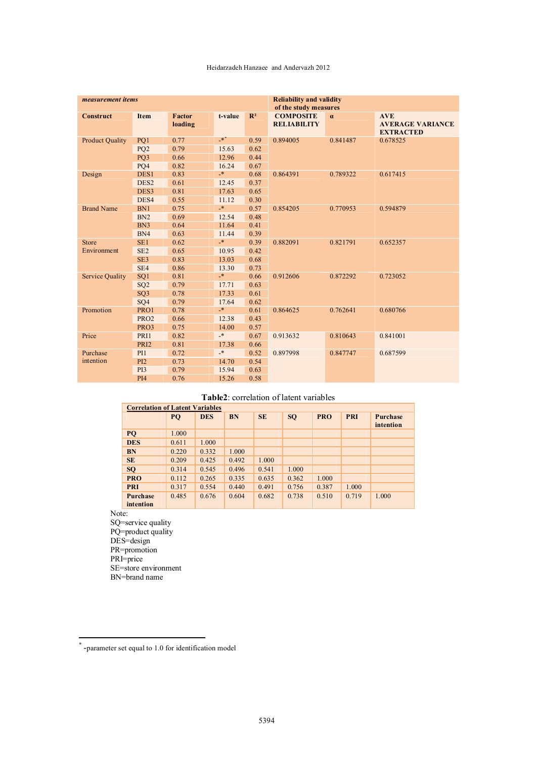### Heidarzadeh Hanzaee and Andervazh 2012

| measurement items      |                  |                   |                | <b>Reliability and validity</b><br>of the study measures |                                        |          |                                                           |  |
|------------------------|------------------|-------------------|----------------|----------------------------------------------------------|----------------------------------------|----------|-----------------------------------------------------------|--|
| <b>Construct</b>       | <b>Item</b>      | Factor<br>loading | t-value        | $\mathbb{R}^2$                                           | <b>COMPOSITE</b><br><b>RELIABILITY</b> | $\alpha$ | <b>AVE</b><br><b>AVERAGE VARIANCE</b><br><b>EXTRACTED</b> |  |
| <b>Product Quality</b> | PQ1              | 0.77              | $\cdot^*$      | 0.59                                                     | 0.894005                               | 0.841487 | 0.678525                                                  |  |
|                        | PQ <sub>2</sub>  | 0.79              | 15.63          | 0.62                                                     |                                        |          |                                                           |  |
|                        | PQ3              | 0.66              | 12.96          | 0.44                                                     |                                        |          |                                                           |  |
|                        | PQ4              | 0.82              | 16.24          | 0.67                                                     |                                        |          |                                                           |  |
| Design                 | DES1             | 0.83              | $\mathbf{*}$   | 0.68                                                     | 0.864391                               | 0.789322 | 0.617415                                                  |  |
|                        | DES <sub>2</sub> | 0.61              | 12.45          | 0.37                                                     |                                        |          |                                                           |  |
|                        | DES <sub>3</sub> | 0.81              | 17.63          | 0.65                                                     |                                        |          |                                                           |  |
|                        | DES4             | 0.55              | 11.12          | 0.30                                                     |                                        |          |                                                           |  |
| <b>Brand Name</b>      | BN1              | 0.75              | $\mathbf{R}^*$ | 0.57                                                     | 0.854205                               | 0.770953 | 0.594879                                                  |  |
|                        | BN2              | 0.69              | 12.54          | 0.48                                                     |                                        |          |                                                           |  |
|                        | BN <sub>3</sub>  | 0.64              | 11.64          | 0.41                                                     |                                        |          |                                                           |  |
|                        | BN4              | 0.63              | 11.44          | 0.39                                                     |                                        |          |                                                           |  |
| <b>Store</b>           | SE <sub>1</sub>  | 0.62              | $\ast$         | 0.39                                                     | 0.882091                               | 0.821791 | 0.652357                                                  |  |
| Environment            | SE <sub>2</sub>  | 0.65              | 10.95          | 0.42                                                     |                                        |          |                                                           |  |
|                        | SE3              | 0.83              | 13.03          | 0.68                                                     |                                        |          |                                                           |  |
|                        | SE <sub>4</sub>  | 0.86              | 13.30          | 0.73                                                     |                                        |          |                                                           |  |
| <b>Service Quality</b> | SQ <sub>1</sub>  | 0.81              | $\star$        | 0.66                                                     | 0.912606                               | 0.872292 | 0.723052                                                  |  |
|                        | SQ <sub>2</sub>  | 0.79              | 17.71          | 0.63                                                     |                                        |          |                                                           |  |
|                        | SO <sub>3</sub>  | 0.78              | 17.33          | 0.61                                                     |                                        |          |                                                           |  |
|                        | SQ4              | 0.79              | 17.64          | 0.62                                                     |                                        |          |                                                           |  |
| Promotion              | PRO1             | 0.78              | $\star$        | 0.61                                                     | 0.864625                               | 0.762641 | 0.680766                                                  |  |
|                        | PRO <sub>2</sub> | 0.66              | 12.38          | 0.43                                                     |                                        |          |                                                           |  |
|                        | PRO3             | 0.75              | 14.00          | 0.57                                                     |                                        |          |                                                           |  |
| Price                  | PRI1             | 0.82              | $\mathbf{R}^*$ | 0.67                                                     | 0.913632                               | 0.810643 | 0.841001                                                  |  |
|                        | PRI <sub>2</sub> | 0.81              | 17.38          | 0.66                                                     |                                        |          |                                                           |  |
| Purchase               | PI1              | 0.72              | $\mathbf{R}^*$ | 0.52                                                     | 0.897998                               | 0.847747 | 0.687599                                                  |  |
| intention              | PI <sub>2</sub>  | 0.73              | 14.70          | 0.54                                                     |                                        |          |                                                           |  |
|                        | PI3              | 0.79              | 15.94          | 0.63                                                     |                                        |          |                                                           |  |
|                        | <b>PI4</b>       | 0.76              | 15.26          | 0.58                                                     |                                        |          |                                                           |  |

# **Table2**: correlation of latent variables

| <b>Correlation of Latent Variables</b> |       |            |           |           |           |            |            |                              |
|----------------------------------------|-------|------------|-----------|-----------|-----------|------------|------------|------------------------------|
|                                        | PQ    | <b>DES</b> | <b>BN</b> | <b>SE</b> | <b>SQ</b> | <b>PRO</b> | <b>PRI</b> | <b>Purchase</b><br>intention |
| PQ                                     | 1.000 |            |           |           |           |            |            |                              |
| <b>DES</b>                             | 0.611 | 1.000      |           |           |           |            |            |                              |
| <b>BN</b>                              | 0.220 | 0.332      | 1.000     |           |           |            |            |                              |
| <b>SE</b>                              | 0.209 | 0.425      | 0.492     | 1.000     |           |            |            |                              |
| <b>SQ</b>                              | 0.314 | 0.545      | 0.496     | 0.541     | 1.000     |            |            |                              |
| <b>PRO</b>                             | 0.112 | 0.265      | 0.335     | 0.635     | 0.362     | 1.000      |            |                              |
| <b>PRI</b>                             | 0.317 | 0.554      | 0.440     | 0.491     | 0.756     | 0.387      | 1.000      |                              |
| <b>Purchase</b><br>intention           | 0.485 | 0.676      | 0.604     | 0.682     | 0.738     | 0.510      | 0.719      | 1.000                        |

Note:

SQ=service quality PQ=product quality DES=design PR=promotion PRI=price SE=store environment BN=brand name

 \* -parameter set equal to 1.0 for identification model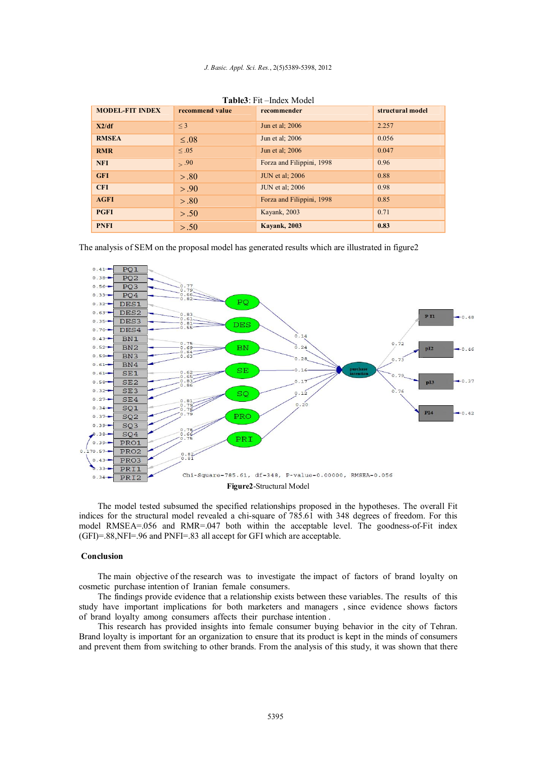| <b>MODEL-FIT INDEX</b> | recommend value | $1.401 \times 1.11$ $1.100 \times 1.10 \times 1.1$<br>recommender | structural model |  |
|------------------------|-----------------|-------------------------------------------------------------------|------------------|--|
|                        |                 |                                                                   |                  |  |
| X2/df                  | $\leq$ 3        | Jun et al; 2006                                                   | 2.257            |  |
| <b>RMSEA</b>           | $\leq .08$      | Jun et al; 2006                                                   | 0.056            |  |
| <b>RMR</b>             | $\leq .05$      | Jun et al; 2006                                                   | 0.047            |  |
| <b>NFI</b>             | > .90           | Forza and Filippini, 1998                                         | 0.96             |  |
| <b>GFI</b>             | > .80           | <b>JUN</b> et al; 2006                                            | 0.88             |  |
| <b>CFI</b>             | > .90           | <b>JUN</b> et al; 2006                                            | 0.98             |  |
| <b>AGFI</b>            | > .80           | Forza and Filippini, 1998                                         | 0.85             |  |
| <b>PGFI</b>            | > .50           | Kayank, 2003                                                      | 0.71             |  |
| <b>PNFI</b>            | > .50           | <b>Kavank, 2003</b>                                               | 0.83             |  |

**Table3**: Fit –Index Model

The analysis of SEM on the proposal model has generated results which are illustrated in figure2



The model tested subsumed the specified relationships proposed in the hypotheses. The overall Fit indices for the structural model revealed a chi-square of 785.61 with 348 degrees of freedom. For this model RMSEA=.056 and RMR=.047 both within the acceptable level. The goodness-of-Fit index (GFI)=.88,NFI=.96 and PNFI=.83 all accept for GFI which are acceptable.

# **Conclusion**

The main objective of the research was to investigate the impact of factors of brand loyalty on cosmetic purchase intention of Iranian female consumers.

The findings provide evidence that a relationship exists between these variables. The results of this study have important implications for both marketers and managers , since evidence shows factors of brand loyalty among consumers affects their purchase intention .

This research has provided insights into female consumer buying behavior in the city of Tehran. Brand loyalty is important for an organization to ensure that its product is kept in the minds of consumers and prevent them from switching to other brands. From the analysis of this study, it was shown that there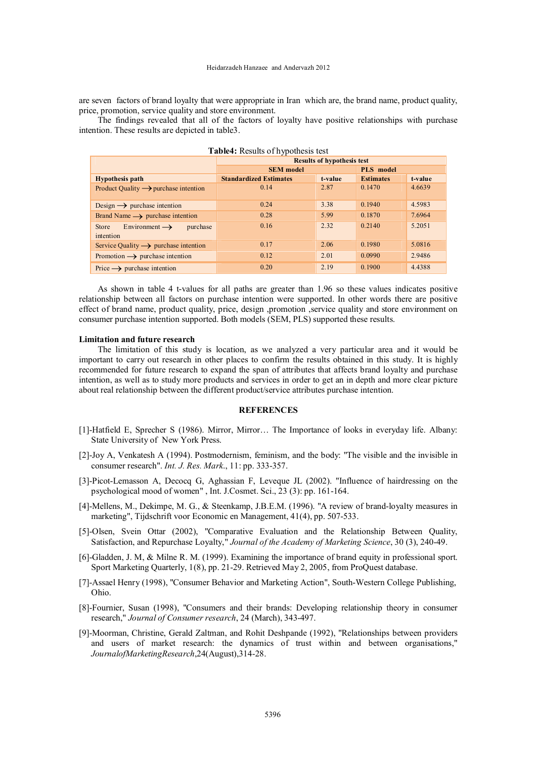are seven factors of brand loyalty that were appropriate in Iran which are, the brand name, product quality, price, promotion, service quality and store environment.

The findings revealed that all of the factors of loyalty have positive relationships with purchase intention. These results are depicted in table3.

| Table4: Results of hypothesis test                    |                                   |           |                  |         |  |  |  |
|-------------------------------------------------------|-----------------------------------|-----------|------------------|---------|--|--|--|
|                                                       | <b>Results of hypothesis test</b> |           |                  |         |  |  |  |
|                                                       | <b>SEM</b> model                  | PLS model |                  |         |  |  |  |
| <b>Hypothesis path</b>                                | <b>Standardized Estimates</b>     | t-value   | <b>Estimates</b> | t-value |  |  |  |
| Product Quality $\rightarrow$ purchase intention      | 0.14                              | 2.87      | 0.1470           | 4.6639  |  |  |  |
|                                                       |                                   |           |                  |         |  |  |  |
| Design $\rightarrow$ purchase intention               | 0.24                              | 3.38      | 0.1940           | 4.5983  |  |  |  |
| Brand Name $\rightarrow$ purchase intention           | 0.28                              | 5.99      | 0.1870           | 7.6964  |  |  |  |
| Environment $\rightarrow$<br>purchase<br><b>Store</b> | 0.16                              | 2.32      | 0.2140           | 5.2051  |  |  |  |
| intention                                             |                                   |           |                  |         |  |  |  |
| Service Quality $\rightarrow$ purchase intention      | 0.17                              | 2.06      | 0.1980           | 5.0816  |  |  |  |
| Promotion $\rightarrow$ purchase intention            | 0.12                              | 2.01      | 0.0990           | 2.9486  |  |  |  |
| Price $\rightarrow$ purchase intention                | 0.20                              | 2.19      | 0.1900           | 4.4388  |  |  |  |

As shown in table 4 t-values for all paths are greater than 1.96 so these values indicates positive relationship between all factors on purchase intention were supported. In other words there are positive effect of brand name, product quality, price, design ,promotion ,service quality and store environment on consumer purchase intention supported. Both models (SEM, PLS) supported these results.

### **Limitation and future research**

The limitation of this study is location, as we analyzed a very particular area and it would be important to carry out research in other places to confirm the results obtained in this study. It is highly recommended for future research to expand the span of attributes that affects brand loyalty and purchase intention, as well as to study more products and services in order to get an in depth and more clear picture about real relationship between the different product/service attributes purchase intention.

# **REFERENCES**

- [1]-Hatfield E, Sprecher S (1986). Mirror, Mirror... The Importance of looks in everyday life. Albany: State University of New York Press.
- [2]-Joy A, Venkatesh A (1994). Postmodernism, feminism, and the body: "The visible and the invisible in consumer research". *Int. J. Res. Mark*., 11: pp. 333-357.
- [3]-Picot-Lemasson A, Decocq G, Aghassian F, Leveque JL (2002). "Influence of hairdressing on the psychological mood of women" , Int. J.Cosmet. Sci., 23 (3): pp. 161-164.
- [4]-Mellens, M., Dekimpe, M. G., & Steenkamp, J.B.E.M. (1996). "A review of brand-loyalty measures in marketing", Tijdschrift voor Economic en Management, 41(4), pp. 507-533.
- [5]-Olsen, Svein Ottar (2002), "Comparative Evaluation and the Relationship Between Quality, Satisfaction, and Repurchase Loyalty," *Journal of the Academy of Marketing Science*, 30 (3), 240-49.
- [6]-Gladden, J. M, & Milne R. M. (1999). Examining the importance of brand equity in professional sport. Sport Marketing Quarterly, 1(8), pp. 21-29. Retrieved May 2, 2005, from ProQuest database.
- [7]-Assael Henry (1998), "Consumer Behavior and Marketing Action", South-Western College Publishing, Ohio.
- [8]-Fournier, Susan (1998), "Consumers and their brands: Developing relationship theory in consumer research," *Journal of Consumer research*, 24 (March), 343-497.
- [9]-Moorman, Christine, Gerald Zaltman, and Rohit Deshpande (1992), "Relationships between providers and users of market research: the dynamics of trust within and between organisations," *JournalofMarketingResearch*,24(August),314-28.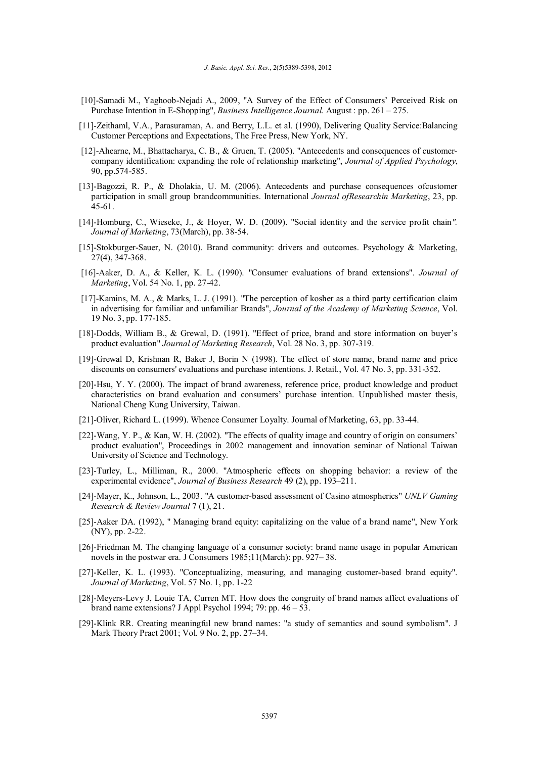- [10]-Samadi M., Yaghoob-Nejadi A., 2009, "A Survey of the Effect of Consumers' Perceived Risk on Purchase Intention in E-Shopping", *Business Intelligence Journal*. August : pp. 261 – 275.
- [11]-Zeithaml, V.A., Parasuraman, A. and Berry, L.L. et al. (1990), Delivering Quality Service:Balancing Customer Perceptions and Expectations, The Free Press, New York, NY.
- [12]-Ahearne, M., Bhattacharya, C. B., & Gruen, T. (2005). "Antecedents and consequences of customercompany identification: expanding the role of relationship marketing", *Journal of Applied Psychology*, 90, pp.574-585.
- [13]-Bagozzi, R. P., & Dholakia, U. M. (2006). Antecedents and purchase consequences ofcustomer participation in small group brandcommunities. International *Journal ofResearchin Marketing*, 23, pp. 45-61.
- [14]-Homburg, C., Wieseke, J., & Hoyer, W. D. (2009). "Social identity and the service profit chain*". Journal of Marketing*, 73(March), pp. 38-54.
- [15]-Stokburger-Sauer, N. (2010). Brand community: drivers and outcomes. Psychology & Marketing, 27(4), 347-368.
- [16]-Aaker, D. A., & Keller, K. L. (1990). "Consumer evaluations of brand extensions". *Journal of Marketing*, Vol. 54 No. 1, pp. 27-42.
- [17]-Kamins, M. A., & Marks, L. J. (1991). "The perception of kosher as a third party certification claim in advertising for familiar and unfamiliar Brands", *Journal of the Academy of Marketing Science*, Vol. 19 No. 3, pp. 177-185.
- [18]-Dodds, William B., & Grewal, D. (1991). "Effect of price, brand and store information on buyer's product evaluation" *Journal of Marketing Research*, Vol. 28 No. 3, pp. 307-319.
- [19]-Grewal D, Krishnan R, Baker J, Borin N (1998). The effect of store name, brand name and price discounts on consumers' evaluations and purchase intentions. J. Retail., Vol. 47 No. 3, pp. 331-352.
- [20]-Hsu, Y. Y. (2000). The impact of brand awareness, reference price, product knowledge and product characteristics on brand evaluation and consumers' purchase intention. Unpublished master thesis, National Cheng Kung University, Taiwan.
- [21]-Oliver, Richard L. (1999). Whence Consumer Loyalty. Journal of Marketing, 63, pp. 33-44.
- [22]-Wang, Y. P., & Kan, W. H. (2002). "The effects of quality image and country of origin on consumers' product evaluation", Proceedings in 2002 management and innovation seminar of National Taiwan University of Science and Technology.
- [23]-Turley, L., Milliman, R., 2000. "Atmospheric effects on shopping behavior: a review of the experimental evidence", *Journal of Business Research* 49 (2), pp. 193–211.
- [24]-Mayer, K., Johnson, L., 2003. "A customer-based assessment of Casino atmospherics" *UNLV Gaming Research & Review Journal* 7 (1), 21.
- [25]-Aaker DA. (1992), " Managing brand equity: capitalizing on the value of a brand name", New York (NY), pp. 2-22.
- [26]-Friedman M. The changing language of a consumer society: brand name usage in popular American novels in the postwar era. J Consumers 1985;11(March): pp. 927– 38.
- [27]-Keller, K. L. (1993). "Conceptualizing, measuring, and managing customer-based brand equity". *Journal of Marketing*, Vol. 57 No. 1, pp. 1-22
- [28]-Meyers-Levy J, Louie TA, Curren MT. How does the congruity of brand names affect evaluations of brand name extensions? J Appl Psychol 1994; 79: pp. 46 – 53.
- [29]-Klink RR. Creating meaningful new brand names: "a study of semantics and sound symbolism". J Mark Theory Pract 2001; Vol. 9 No. 2, pp. 27–34.